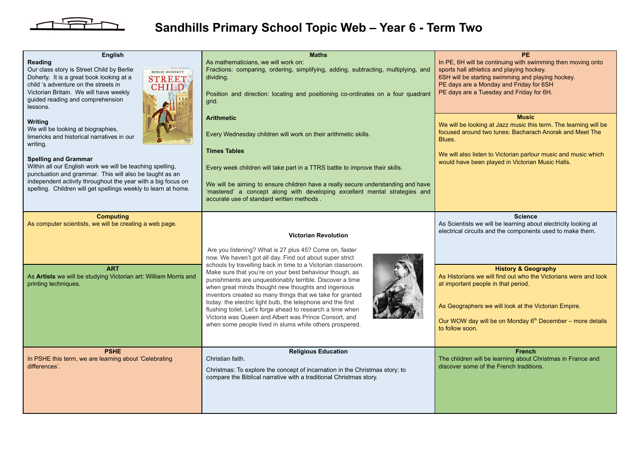

## **Sandhills Primary School Topic Web – Year 6 - Term Two**

| <b>English</b>                                                                                                                                      | <b>Maths</b>                                                                                                                                                                                                                            | PE.                                                                                                                                                           |
|-----------------------------------------------------------------------------------------------------------------------------------------------------|-----------------------------------------------------------------------------------------------------------------------------------------------------------------------------------------------------------------------------------------|---------------------------------------------------------------------------------------------------------------------------------------------------------------|
| Reading<br>Our class story is Street Child by Berlie<br><b>BERLIE DOHERTY</b><br>Doherty. It is a great book looking at a                           | As mathematicians, we will work on:<br>Fractions: comparing, ordering, simplifying, adding, subtracting, multiplying, and<br>dividing.                                                                                                  | In PE, 6H will be continuing with swimming then moving onto<br>sports hall athletics and playing hockey.<br>6SH will be starting swimming and playing hockey. |
| <b>STREET</b><br>child 's adventure on the streets in<br><b>CHILD</b><br>Victorian Britain. We will have weekly<br>guided reading and comprehension | Position and direction: locating and positioning co-ordinates on a four quadrant                                                                                                                                                        | PE days are a Monday and Friday for 6SH<br>PE days are a Tuesday and Friday for 6H.                                                                           |
| lessons.                                                                                                                                            | grid.<br><b>Arithmetic</b>                                                                                                                                                                                                              | <b>Music</b>                                                                                                                                                  |
| <b>Writing</b><br>We will be looking at biographies,<br>limericks and historical narratives in our<br>writing.                                      | Every Wednesday children will work on their arithmetic skills.                                                                                                                                                                          | We will be looking at Jazz music this term. The learning will be<br>focused around two tunes: Bacharach Anorak and Meet The<br>Blues.                         |
| <b>Spelling and Grammar</b>                                                                                                                         | <b>Times Tables</b>                                                                                                                                                                                                                     | We will also listen to Victorian parlour music and music which<br>would have been played in Victorian Music Halls.                                            |
| Within all our English work we will be teaching spelling,<br>punctuation and grammar. This will also be taught as an                                | Every week children will take part in a TTRS battle to improve their skills.                                                                                                                                                            |                                                                                                                                                               |
| independent activity throughout the year with a big focus on<br>spelling. Children will get spellings weekly to learn at home.                      | We will be aiming to ensure children have a really secure understanding and have<br>'mastered' a concept along with developing excellent mental strategies and<br>accurate use of standard written methods.                             |                                                                                                                                                               |
| <b>Computing</b>                                                                                                                                    |                                                                                                                                                                                                                                         | <b>Science</b>                                                                                                                                                |
| As computer scientists, we will be creating a web page.                                                                                             | <b>Victorian Revolution</b>                                                                                                                                                                                                             | As Scientists we will be learning about electricity looking at<br>electrical circuits and the components used to make them.                                   |
|                                                                                                                                                     | Are you listening? What is 27 plus 45? Come on, faster<br>now. We haven't got all day. Find out about super strict<br>schools by travelling back in time to a Victorian classroom.                                                      |                                                                                                                                                               |
| <b>ART</b><br>As Artists we will be studying Victorian art: William Morris and<br>printing techniques.                                              | Make sure that you're on your best behaviour though, as<br>punishments are unquestionably terrible. Discover a time<br>when great minds thought new thoughts and ingenious<br>inventors created so many things that we take for granted | <b>History &amp; Geography</b><br>As Historians we will find out who the Victorians were and look<br>at important people in that period.                      |
|                                                                                                                                                     | today: the electric light bulb, the telephone and the first<br>flushing toilet. Let's forge ahead to research a time when                                                                                                               | As Geographers we will look at the Victorian Empire.                                                                                                          |
|                                                                                                                                                     | Victoria was Queen and Albert was Prince Consort, and<br>when some people lived in slums while others prospered.                                                                                                                        | Our WOW day will be on Monday 6 <sup>th</sup> December - more details<br>to follow soon.                                                                      |
| <b>PSHE</b><br>In PSHE this term, we are learning about 'Celebrating<br>differences'.                                                               | <b>Religious Education</b><br>Christian faith.<br>Christmas: To explore the concept of incarnation in the Christmas story; to<br>compare the Biblical narrative with a traditional Christmas story.                                     | <b>French</b><br>The children will be learning about Christmas in France and<br>discover some of the French traditions.                                       |
|                                                                                                                                                     |                                                                                                                                                                                                                                         |                                                                                                                                                               |